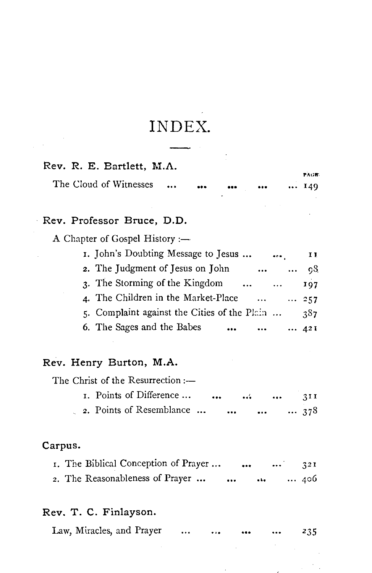# INDEX.

#### Rev. R. E. Bartlett, M.A.

|                        |  |                         |                         | PAGE |
|------------------------|--|-------------------------|-------------------------|------|
| The Cloud of Witnesses |  | $\bullet\bullet\bullet$ | $\bullet\bullet\bullet$ | 149  |

### Rev. Professor Bruce, D.D.

A Chapter of Gospel History :-

| 1. John's Doubting Message to Jesus            |              | II.          |
|------------------------------------------------|--------------|--------------|
| 2. The Judgment of Jesus on John<br>$\cdots$   |              | $\ldots$ 08  |
| 3. The Storming of the Kingdom                 |              | 107          |
| 4. The Children in the Market-Place<br>aastron |              | $\cdots$ 257 |
| 5. Complaint against the Cities of the Plain   |              | 387          |
| 6. The Sages and the Babes<br>$\cdots$<br>     | $\cdots$ 421 |              |

#### Rev. Henry Burton, M.A.

The Christ of the Resurrection :-

|  | I. Points of Difference  |  |      | $\cdots$ | 31 I      |
|--|--------------------------|--|------|----------|-----------|
|  | 2. Points of Resemblance |  | <br> |          | $ \; 378$ |

#### Carpus.

| 1. The Biblical Conception of Prayer |          |  | 321 |
|--------------------------------------|----------|--|-----|
| 2. The Reasonableness of Prayer      | $\cdots$ |  | 406 |

#### Rev. T. C. Finlayson.

|  | Law, Miracles, and Prayer |  |  |  | $\sim$ $\sim$ $\sim$ | $\bullet\bullet\bullet$ | $\bullet\bullet\bullet$ | 235 |
|--|---------------------------|--|--|--|----------------------|-------------------------|-------------------------|-----|
|--|---------------------------|--|--|--|----------------------|-------------------------|-------------------------|-----|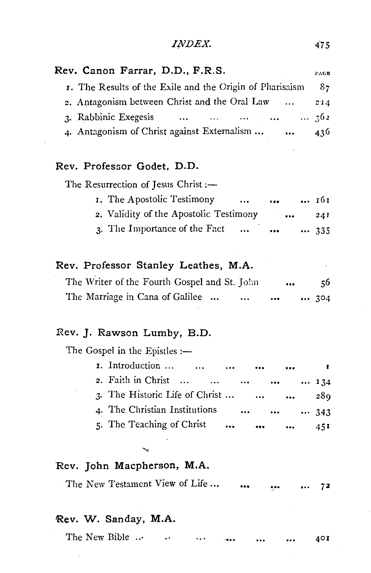| <i>INDEX.</i> |  |
|---------------|--|
|               |  |

 $\overline{\phantom{a}}$ 

| Rev. Canon Farrar, D.D., F.R.S.                              | PAGE         |
|--------------------------------------------------------------|--------------|
| I. The Results of the Exile and the Origin of Pliarisaism    | - 87         |
| 2. Antagonism between Christ and the Oral Law<br>$\cdots$    | 214          |
| 3. Rabbinic Exegesis<br>المتفاري المتداد المتداد<br>$\cdots$ | 362          |
| 4. Antagonism of Christ against Externalism                  | 436          |
|                                                              |              |
| Rev. Professor Godet, D.D.                                   |              |
| The Resurrection of Jesus Christ :-                          |              |
| I. The Apostolic Testimony<br><br>$\ddot{\phantom{a}}$       | 161          |
| 2. Validity of the Apostolic Testimony<br>$\sim 10^{-10}$    | 24I          |
| 3. The Importance of the Fact<br><br>                        | 335          |
|                                                              |              |
| Rev. Professor Stanley Leathes, M.A.                         |              |
| The Writer of the Fourth Gospel and St. John                 | 56           |
| The Marriage in Cana of Galilee<br>                          | 304          |
|                                                              |              |
| Rev. J. Rawson Lumby, B.D.                                   |              |
| The Gospel in the Epistles :-                                |              |
| <b>1.</b> Introduction                                       | $\mathbf{r}$ |
| 2. Faith in Christ<br>$\cdots$<br>$\cdots$                   | 134          |
| 3. The Historic Life of Christ<br>                           | 289          |
| 4. The Christian Institutions                                | 343          |
| 5. The Teaching of Christ<br>$\cdots$<br>                    | 451          |
|                                                              |              |
|                                                              |              |
| Rev. John Macpherson, M.A.                                   |              |
| The New Testament View of Life                               | 72           |
|                                                              |              |
| Rev. W. Sanday, M.A.                                         |              |
| The New Bible                                                | 40I          |